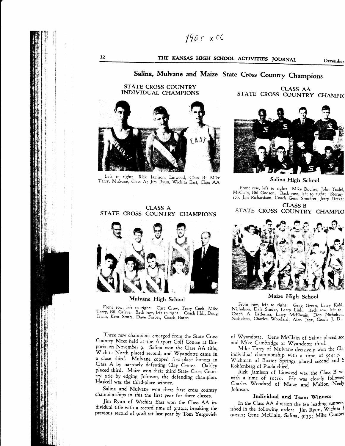# THE KANSAS HIGH SCHOOL ACTIVITIES JOURNAL December

# Salina, Mulvane and Maize State Cross Country Champions

### STATE CROSS COUNTRY INDIVIDUAL CHAMPIONS

12



Left to right: . Rick Jamison, Linwood, Class B; Mike Tarry, Mulvane, Class A; Jim Ryun, Wichita East, Class AA

#### CLASS A STATE CROSS COUNTRY CHAMPIONS



Mulvane High School

Front row, left to right: Curt Crow, Terry Cook, Mike Tarry, Bill Grieve. Back row, left to right: Coach Hill, Doug<br>Tarry, Bill Grieve. Back row, left to right: Coach Hill, Doug<br>Irwin, Kent Stotts, Dave Farber, Coach Boren

Three new champions emerged from the State Cross Country Meet held at the Airporr Golf Course at Emporia on November 9. Saiina won rhe Class AA title. Wichita North placed second, and Wyandotte came in a ciose rhird. Mulvane copped firsi-place honors in Class A by narrowly defeating Clay Center. Oakley placed third. Maize won their third State Cross Country title by edging Johnson, the defending champion. Haskell was the third-place winner.

Salina and Mulvane won their first cross countrv 'championships in this the first year for three classes.

Jim Ryun of Wichita East won the Class AA individual title with a record time of gi22.2, breaking the previous record of 9:28 set last year by Tom Yergovich

CLASS AA STATE CROSS COUNTRY CHAMPIC



Salina High School

Front row, left to right: Mike Bucher, John Tisdel<br>McClain, Biil Godson.\_ Back row, left to right: Stormy Front rcw, left to right: Mike Bucher, John Tisdel, son, Jim Richardson, Coach Gene Stauffer, Jerry Decke

CLASS B STATE CROSS COUNTRY CHAMPIO



Maize High School

Frent row, left to right: Greg Green, Larry Kohl, Nicholson, Dale Snider, Larry Link. Back row, left to Coach A. Ledesma, Larry McElwain, Don Nicholson, Nicholson, Charles Woodard, Alan Jaax, Coach J. D.

of 'Wyandotte. Gene McCIain of Salina placed sec and Mike Cambridge of Wyandotte third.

Mike Tarry of Mulvane decisively won the Cla individual championship with a rime o{ 9:4t.7. Wichman of Baxter Springs placed second and S Kohlenberg of Paola third.

Rick Jamison of Linwood was the Class B wi with a time of 10:10. He was closely followed Charles Woodard of Maize and Marlon Neely Johnson.

### Individual and Team Winners

In the Class AA division the ten leading runners ished in the following order: Jim Ryun, Wichita I 9:22.2; Gene McClain, Salina,  $9:33$ ; Mike Cambri